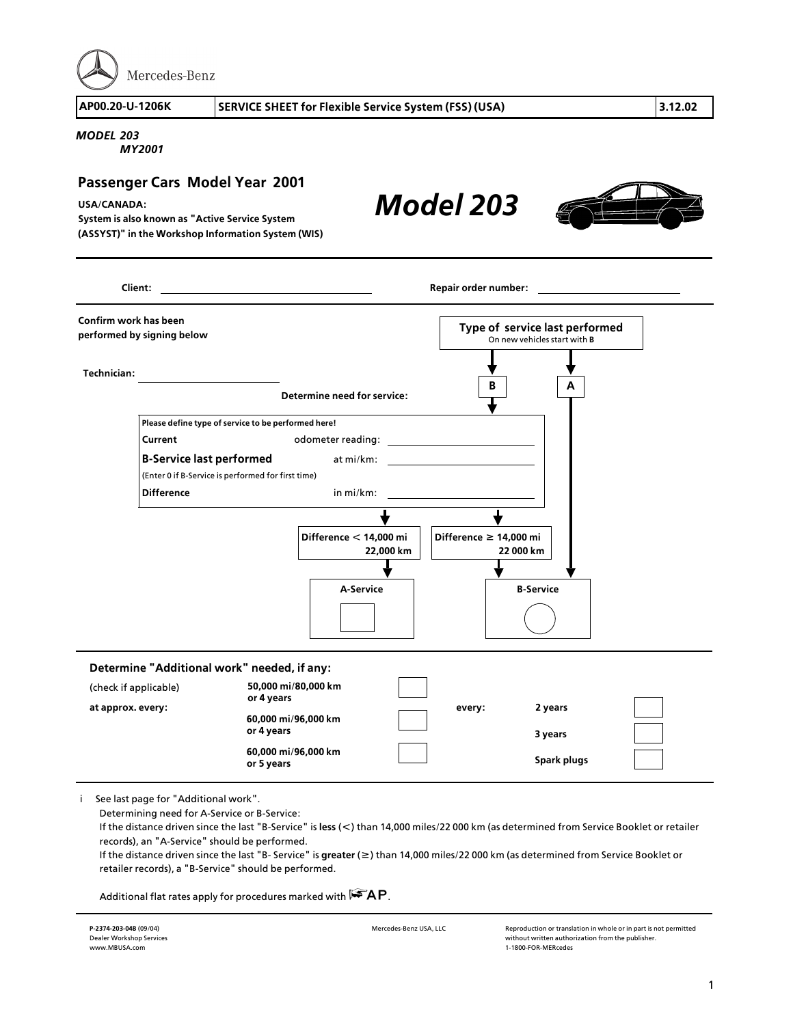

*Model 203*

## *MODEL 203*

*MY2001*

## **Passenger Cars Model Year 2001**

**USA/CANADA:** 

**System is also known as "Active Service System (ASSYST)" in the Workshop Information System (WIS)**

**B A Technician: Client: Repair order number: Confirm work has been performed by signing below Type of service last performed** On new vehicles start with **B Determine need for service: Please define type of service to be performed here! Current Current odometer reading: <sup>B</sup>>Service last performed** at mi/km: (Enter 0 if B>Service is performed for first time) **Difference** in mi/km: **Determine "Additional work" needed, if any: at approx. every: every: 2 years 3 years Spark plugs Difference f 14,000 mi 22 000 km Difference < 14,000 mi 22,000 km 50,000 mi/80,000 km or 4 years 60,000 mi/96,000 km or 4 years 60,000 mi/96,000 km or 5 years <sup>A</sup>>Service <sup>B</sup>>Service** (check if applicable)

i See last page for "Additional work".

Determining need for A>Service or B>Service:

If the distance driven since the last "B>Service" is **less** (**<**) than 14,000 miles/22 000 km (as determined from Service Booklet or retailer records), an "A>Service" should be performed.

If the distance driven since the last "B> Service" is **greater** (**f**) than 14,000 miles/22 000 km (as determined from Service Booklet or retailer records), a "B>Service" should be performed.

Additional flat rates apply for procedures marked with  $R^2AP$ .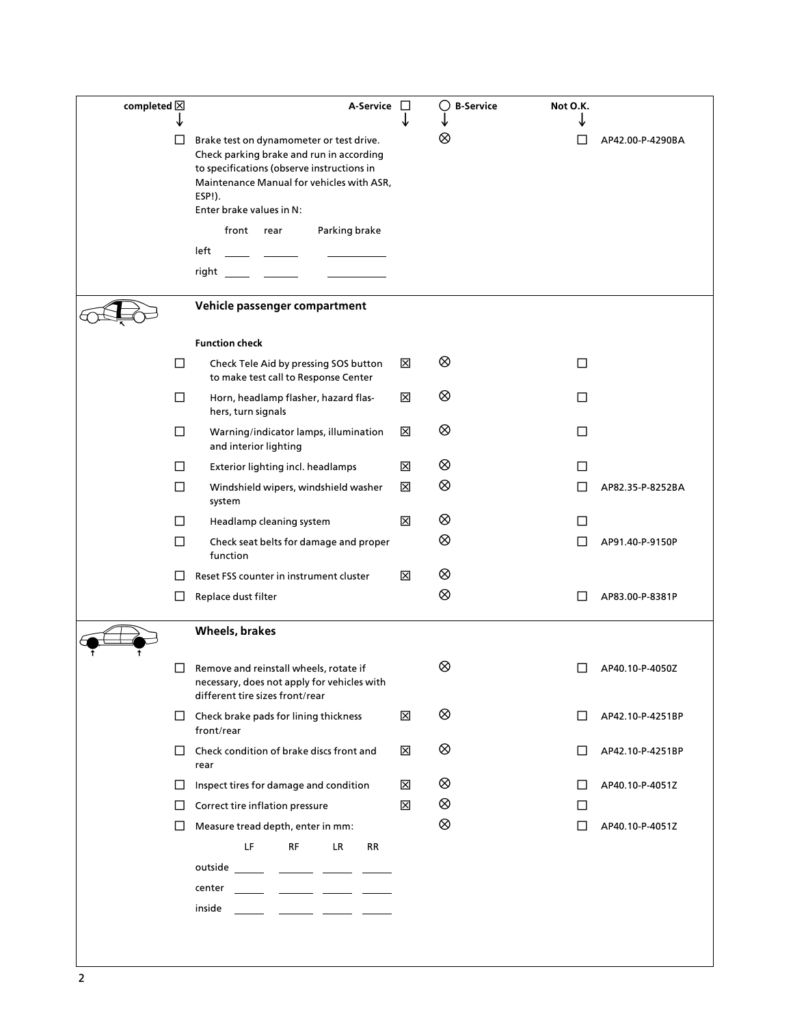| completed $\boxtimes$ | A-Service                                                                                                                                                                                                             | ⊔ | $\circ$<br><b>B-Service</b> | Not O.K.     |                  |
|-----------------------|-----------------------------------------------------------------------------------------------------------------------------------------------------------------------------------------------------------------------|---|-----------------------------|--------------|------------------|
|                       | Brake test on dynamometer or test drive.<br>Check parking brake and run in according<br>to specifications (observe instructions in<br>Maintenance Manual for vehicles with ASR,<br>ESP!).<br>Enter brake values in N: |   | ⊗                           | $\Box$       | AP42.00-P-4290BA |
|                       | front<br>Parking brake<br>rear                                                                                                                                                                                        |   |                             |              |                  |
|                       | left<br>right                                                                                                                                                                                                         |   |                             |              |                  |
|                       | Vehicle passenger compartment                                                                                                                                                                                         |   |                             |              |                  |
|                       | <b>Function check</b>                                                                                                                                                                                                 |   |                             |              |                  |
| $\Box$                | Check Tele Aid by pressing SOS button<br>to make test call to Response Center                                                                                                                                         | ⊠ | ⊗                           | $\Box$       |                  |
| □                     | Horn, headlamp flasher, hazard flas-<br>hers, turn signals                                                                                                                                                            | ⊠ | ⊗                           | □            |                  |
| □                     | Warning/indicator lamps, illumination<br>and interior lighting                                                                                                                                                        | ⊠ | ⊗                           | □            |                  |
| Ш                     | Exterior lighting incl. headlamps                                                                                                                                                                                     | ⊠ | ⊗                           | $\Box$       |                  |
| □                     | Windshield wipers, windshield washer<br>system                                                                                                                                                                        | ⊠ | ⊗                           | П            | AP82.35-P-8252BA |
| Ш                     | Headlamp cleaning system                                                                                                                                                                                              | ⊠ | ⊗                           | $\Box$       |                  |
| $\Box$                | Check seat belts for damage and proper<br>function                                                                                                                                                                    |   | ⊗                           | $\mathsf{L}$ | AP91.40-P-9150P  |
| $\mathsf{L}$          | Reset FSS counter in instrument cluster                                                                                                                                                                               | ⊠ | ⊗                           |              |                  |
| ப                     | Replace dust filter                                                                                                                                                                                                   |   | ⊗                           | $\Box$       | AP83.00-P-8381P  |
|                       | Wheels, brakes                                                                                                                                                                                                        |   |                             |              |                  |
|                       | Remove and reinstall wheels, rotate if<br>necessary, does not apply for vehicles with<br>different tire sizes front/rear                                                                                              |   | ⊗                           |              | AP40.10-P-4050Z  |
| ப                     | Check brake pads for lining thickness<br>front/rear                                                                                                                                                                   | ⊠ | ⊗                           | $\Box$       | AP42.10-P-4251BP |
| $\Box$                | Check condition of brake discs front and<br>rear                                                                                                                                                                      | X | ⊗                           | Ш            | AP42.10-P-4251BP |
| $\Box$                | Inspect tires for damage and condition                                                                                                                                                                                | ⊠ | ⊗                           | Ш            | AP40.10-P-4051Z  |
| $\Box$                | Correct tire inflation pressure                                                                                                                                                                                       | ⊠ | $^{\circledR}$              | □            |                  |
| $\Box$                | Measure tread depth, enter in mm:                                                                                                                                                                                     |   | $^{\circ}$                  | $\Box$       | AP40.10-P-4051Z  |
|                       | LF<br><b>RF</b><br>LR.<br>RR<br>outside _______ _______ ______ ______                                                                                                                                                 |   |                             |              |                  |
|                       | center                                                                                                                                                                                                                |   |                             |              |                  |
|                       | inside                                                                                                                                                                                                                |   |                             |              |                  |
|                       |                                                                                                                                                                                                                       |   |                             |              |                  |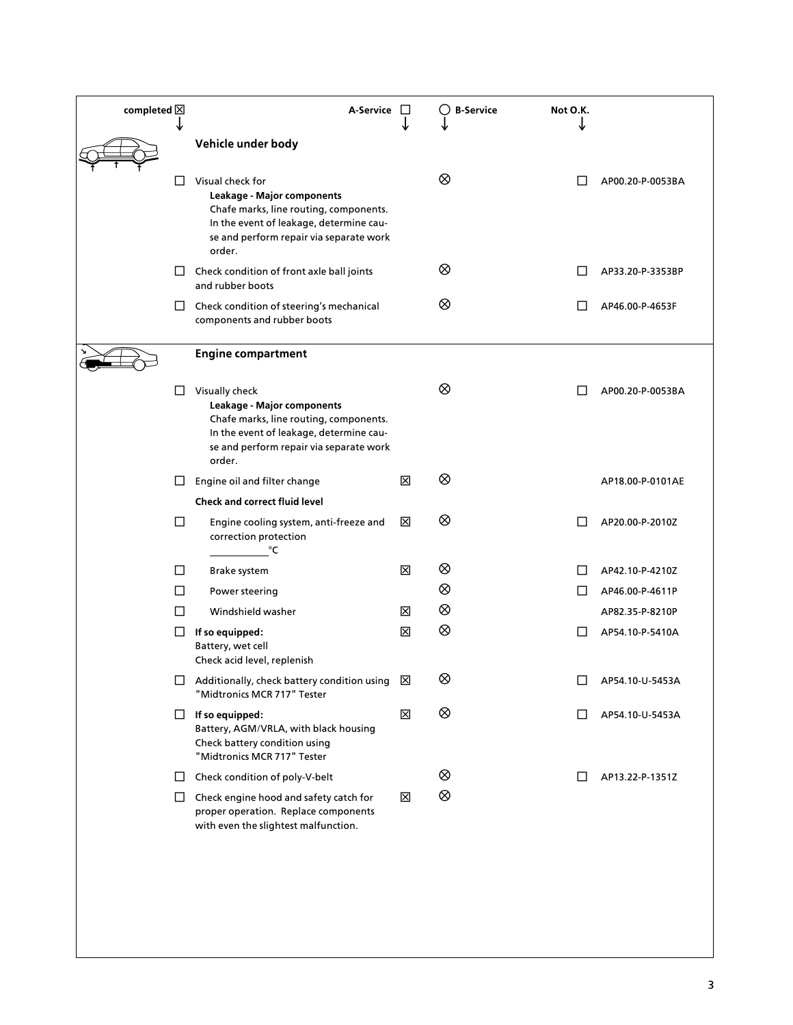| completed $\boxtimes$ |        | A-Service                                                                                                                                                                                |   | <b>B-Service</b> | Not O.K.     |                  |
|-----------------------|--------|------------------------------------------------------------------------------------------------------------------------------------------------------------------------------------------|---|------------------|--------------|------------------|
|                       |        | Vehicle under body                                                                                                                                                                       |   |                  |              |                  |
| $\Box$                |        | Visual check for<br>Leakage - Major components<br>Chafe marks, line routing, components.<br>In the event of leakage, determine cau-<br>se and perform repair via separate work<br>order. |   | ⊗                |              | AP00.20-P-0053BA |
|                       | ப      | Check condition of front axle ball joints<br>and rubber boots                                                                                                                            |   | ⊗                |              | AP33.20-P-3353BP |
|                       | ப      | Check condition of steering's mechanical<br>components and rubber boots                                                                                                                  |   | ⊗                |              | AP46.00-P-4653F  |
|                       |        | <b>Engine compartment</b>                                                                                                                                                                |   |                  |              |                  |
| L                     |        | Visually check<br>Leakage - Major components<br>Chafe marks, line routing, components.<br>In the event of leakage, determine cau-<br>se and perform repair via separate work<br>order.   |   | ⊗                |              | AP00.20-P-0053BA |
| $\Box$                |        | Engine oil and filter change                                                                                                                                                             | ⊠ | ⊗                |              | AP18.00-P-0101AE |
|                       |        | <b>Check and correct fluid level</b>                                                                                                                                                     |   |                  |              |                  |
| $\Box$                |        | Engine cooling system, anti-freeze and<br>correction protection<br>°C                                                                                                                    | ⊠ | ⊗                |              | AP20.00-P-2010Z  |
| $\Box$                |        | Brake system                                                                                                                                                                             | 区 | ⊗                |              | AP42.10-P-4210Z  |
| $\Box$                |        | Power steering                                                                                                                                                                           |   | ⊗                | LΙ           | AP46.00-P-4611P  |
| П                     |        | Windshield washer                                                                                                                                                                        | ⊠ | ⊗                |              | AP82.35-P-8210P  |
| ப                     |        | If so equipped:<br>Battery, wet cell<br>Check acid level, replenish                                                                                                                      | ⊠ | ⊗                |              | AP54.10-P-5410A  |
|                       |        | $\Box$ Additionally, check battery condition using $\boxtimes$<br>"Midtronics MCR 717" Tester                                                                                            |   | ⊗                | □            | AP54.10-U-5453A  |
|                       | $\Box$ | If so equipped:<br>Battery, AGM/VRLA, with black housing<br>Check battery condition using<br>"Midtronics MCR 717" Tester                                                                 | 区 | ⊗                | $\mathsf{L}$ | AP54.10-U-5453A  |
|                       | ப      | Check condition of poly-V-belt                                                                                                                                                           |   | ⊗                | $\mathsf{L}$ | AP13.22-P-1351Z  |
|                       | $\Box$ | Check engine hood and safety catch for<br>proper operation. Replace components<br>with even the slightest malfunction.                                                                   | ⊠ | ⊗                |              |                  |
|                       |        |                                                                                                                                                                                          |   |                  |              |                  |